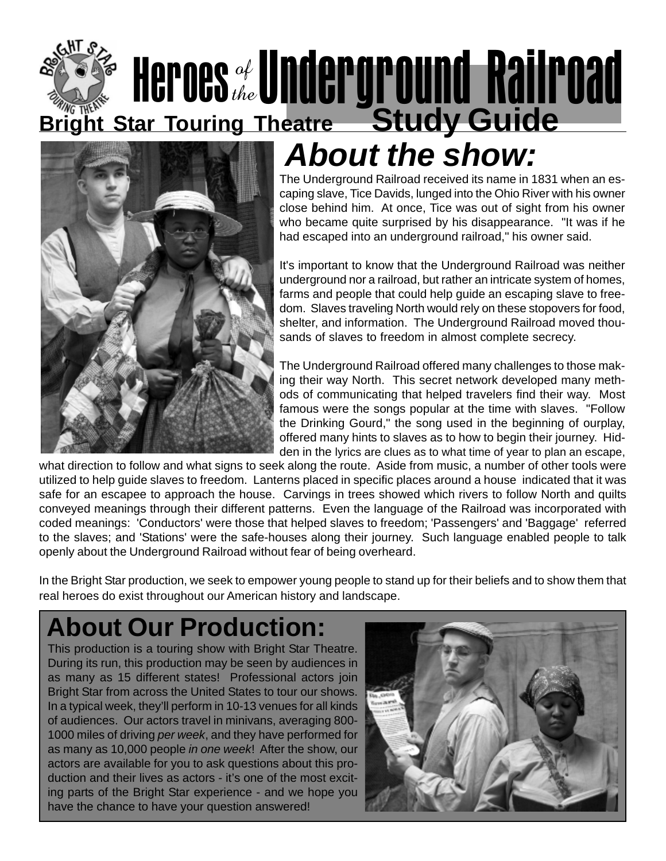### **Bright Star Touring Theatre Study Guide** Heroes of Underground Railroad the



### **About the show:**

The Underground Railroad received its name in 1831 when an escaping slave, Tice Davids, lunged into the Ohio River with his owner close behind him. At once, Tice was out of sight from his owner who became quite surprised by his disappearance. "It was if he had escaped into an underground railroad," his owner said.

It's important to know that the Underground Railroad was neither underground nor a railroad, but rather an intricate system of homes, farms and people that could help guide an escaping slave to freedom. Slaves traveling North would rely on these stopovers for food, shelter, and information. The Underground Railroad moved thousands of slaves to freedom in almost complete secrecy.

The Underground Railroad offered many challenges to those making their way North. This secret network developed many methods of communicating that helped travelers find their way. Most famous were the songs popular at the time with slaves. "Follow the Drinking Gourd," the song used in the beginning of ourplay, offered many hints to slaves as to how to begin their journey. Hidden in the lyrics are clues as to what time of year to plan an escape,

what direction to follow and what signs to seek along the route. Aside from music, a number of other tools were utilized to help guide slaves to freedom. Lanterns placed in specific places around a house indicated that it was safe for an escapee to approach the house. Carvings in trees showed which rivers to follow North and quilts conveyed meanings through their different patterns. Even the language of the Railroad was incorporated with coded meanings: 'Conductors' were those that helped slaves to freedom; 'Passengers' and 'Baggage' referred to the slaves; and 'Stations' were the safe-houses along their journey. Such language enabled people to talk openly about the Underground Railroad without fear of being overheard.

In the Bright Star production, we seek to empower young people to stand up for their beliefs and to show them that real heroes do exist throughout our American history and landscape.

### **About Our Production:**

This production is a touring show with Bright Star Theatre. During its run, this production may be seen by audiences in as many as 15 different states! Professional actors join Bright Star from across the United States to tour our shows. In a typical week, they'll perform in 10-13 venues for all kinds of audiences. Our actors travel in minivans, averaging 800- 1000 miles of driving per week, and they have performed for as many as 10,000 people in one week! After the show, our actors are available for you to ask questions about this production and their lives as actors - it's one of the most exciting parts of the Bright Star experience - and we hope you have the chance to have your question answered!

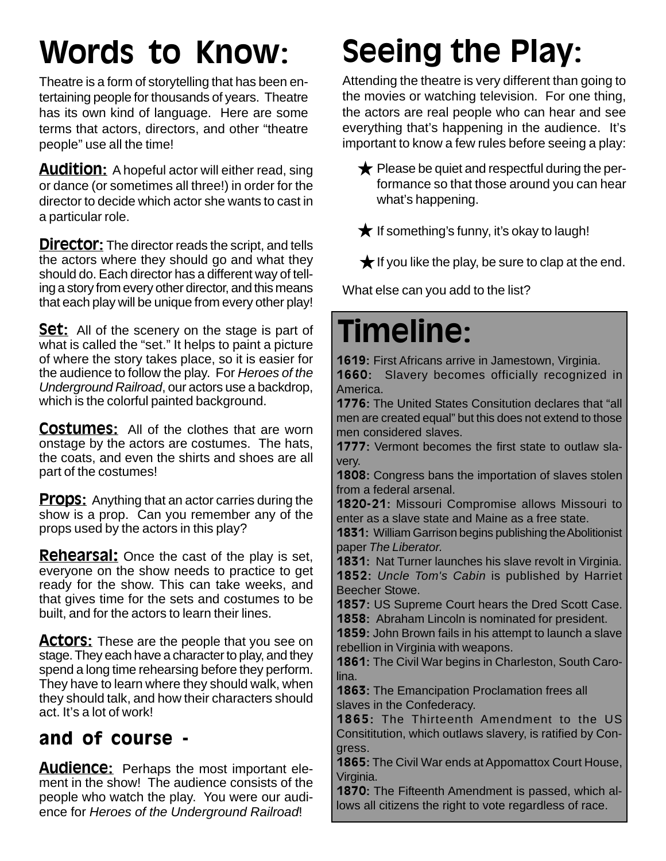### Words to Know:

Theatre is a form of storytelling that has been entertaining people for thousands of years. Theatre has its own kind of language. Here are some terms that actors, directors, and other "theatre people" use all the time!

**Audition:** A hopeful actor will either read, sing or dance (or sometimes all three!) in order for the director to decide which actor she wants to cast in a particular role.

**Director:** The director reads the script, and tells the actors where they should go and what they should do. Each director has a different way of telling a story from every other director, and this means that each play will be unique from every other play!

**Set:** All of the scenery on the stage is part of what is called the "set." It helps to paint a picture of where the story takes place, so it is easier for the audience to follow the play. For Heroes of the Underground Railroad, our actors use a backdrop, which is the colorful painted background.

**Costumes:** All of the clothes that are worn onstage by the actors are costumes. The hats, the coats, and even the shirts and shoes are all part of the costumes!

**Props:** Anything that an actor carries during the show is a prop. Can you remember any of the props used by the actors in this play?

**Rehearsal:** Once the cast of the play is set, everyone on the show needs to practice to get ready for the show. This can take weeks, and that gives time for the sets and costumes to be built, and for the actors to learn their lines.

**Actors:** These are the people that you see on stage. They each have a character to play, and they spend a long time rehearsing before they perform. They have to learn where they should walk, when they should talk, and how their characters should act. It's a lot of work!

### and of course -

**Audience:** Perhaps the most important element in the show! The audience consists of the people who watch the play. You were our audience for Heroes of the Underground Railroad!

# Seeing the Play:

Attending the theatre is very different than going to the movies or watching television. For one thing, the actors are real people who can hear and see everything that's happening in the audience. It's important to know a few rules before seeing a play:

 $\bigstar$  Please be quiet and respectful during the performance so that those around you can hear what's happening.

 $\bigstar$  If something's funny, it's okay to laugh!

 $\bigstar$  If you like the play, be sure to clap at the end.

What else can you add to the list?

### Timeline:

1619: First Africans arrive in Jamestown, Virginia.

1660: Slavery becomes officially recognized in America.

1776: The United States Consitution declares that "all men are created equal" but this does not extend to those men considered slaves.

1777: Vermont becomes the first state to outlaw slavery.

**1808:** Congress bans the importation of slaves stolen from a federal arsenal.

1820-21: Missouri Compromise allows Missouri to enter as a slave state and Maine as a free state.

1831: William Garrison begins publishing the Abolitionist paper The Liberator.

1831: Nat Turner launches his slave revolt in Virginia. 1852: Uncle Tom's Cabin is published by Harriet Beecher Stowe.

1857: US Supreme Court hears the Dred Scott Case. 1858: Abraham Lincoln is nominated for president.

1859: John Brown fails in his attempt to launch a slave rebellion in Virginia with weapons.

1861: The Civil War begins in Charleston, South Carolina.

1863: The Emancipation Proclamation frees all slaves in the Confederacy.

1865: The Thirteenth Amendment to the US Consititution, which outlaws slavery, is ratified by Congress.

1865: The Civil War ends at Appomattox Court House, Virginia.

1870: The Fifteenth Amendment is passed, which allows all citizens the right to vote regardless of race.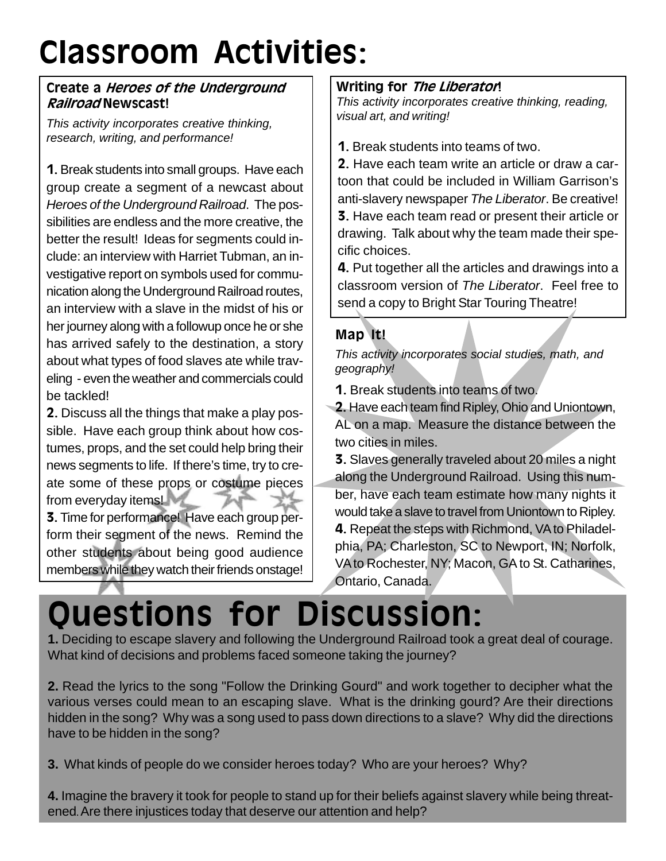# Classroom Activities:

#### Create a Heroes of the Underground Railroad Newscast!

This activity incorporates creative thinking, research, writing, and performance!

1. Break students into small groups. Have each group create a segment of a newcast about Heroes of the Underground Railroad. The possibilities are endless and the more creative, the better the result! Ideas for segments could include: an interview with Harriet Tubman, an investigative report on symbols used for communication along the Underground Railroad routes, an interview with a slave in the midst of his or her journey along with a followup once he or she has arrived safely to the destination, a story about what types of food slaves ate while traveling - even the weather and commercials could be tackled!

2. Discuss all the things that make a play possible. Have each group think about how costumes, props, and the set could help bring their news segments to life. If there's time, try to create some of these props or costume pieces from everyday items!

3. Time for performance! Have each group perform their segment of the news. Remind the other students about being good audience members while they watch their friends onstage!

#### Writing for *The Liberator*!

This activity incorporates creative thinking, reading, visual art, and writing!

1. Break students into teams of two.

2. Have each team write an article or draw a cartoon that could be included in William Garrison's anti-slavery newspaper The Liberator. Be creative! 3. Have each team read or present their article or drawing. Talk about why the team made their specific choices.

4. Put together all the articles and drawings into a classroom version of The Liberator. Feel free to send a copy to Bright Star Touring Theatre!

#### Map It!

This activity incorporates social studies, math, and geography!

1. Break students into teams of two.

2. Have each team find Ripley, Ohio and Uniontown, AL on a map. Measure the distance between the two cities in miles.

3. Slaves generally traveled about 20 miles a night along the Underground Railroad. Using this number, have each team estimate how many nights it would take a slave to travel from Uniontown to Ripley. 4. Repeat the steps with Richmond, VA to Philadelphia, PA; Charleston, SC to Newport, IN; Norfolk, VA to Rochester, NY; Macon, GA to St. Catharines, Ontario, Canada.

### Questions for Discussion:

**1.** Deciding to escape slavery and following the Underground Railroad took a great deal of courage. What kind of decisions and problems faced someone taking the journey?

**2.** Read the lyrics to the song "Follow the Drinking Gourd" and work together to decipher what the various verses could mean to an escaping slave. What is the drinking gourd? Are their directions hidden in the song? Why was a song used to pass down directions to a slave? Why did the directions have to be hidden in the song?

**3.** What kinds of people do we consider heroes today? Who are your heroes? Why?

**4.** Imagine the bravery it took for people to stand up for their beliefs against slavery while being threatened.Are there injustices today that deserve our attention and help?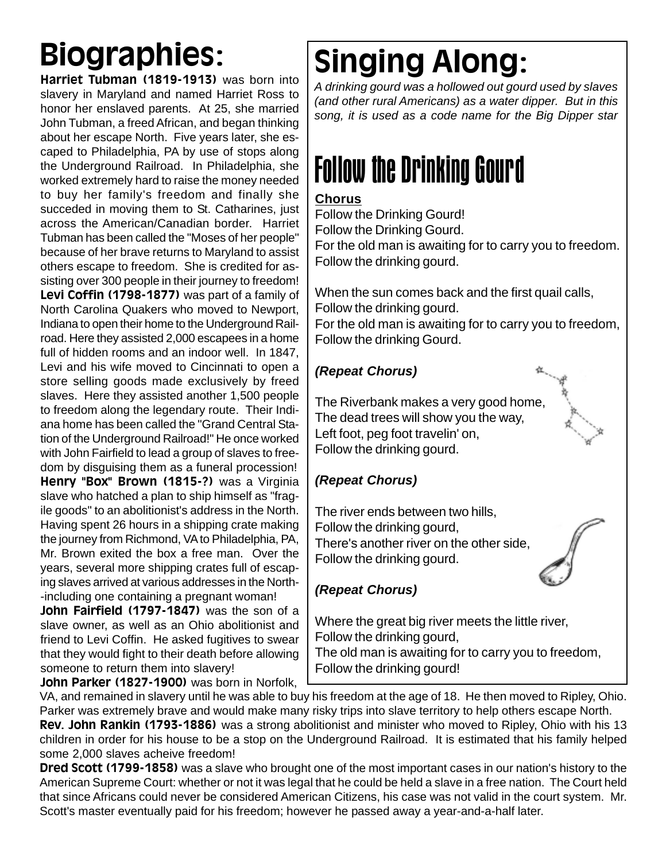Harriet Tubman (1819-1913) was born into slavery in Maryland and named Harriet Ross to honor her enslaved parents. At 25, she married John Tubman, a freed African, and began thinking about her escape North. Five years later, she escaped to Philadelphia, PA by use of stops along the Underground Railroad. In Philadelphia, she worked extremely hard to raise the money needed to buy her family's freedom and finally she succeded in moving them to St. Catharines, just across the American/Canadian border. Harriet Tubman has been called the "Moses of her people" because of her brave returns to Maryland to assist others escape to freedom. She is credited for assisting over 300 people in their journey to freedom! Levi Coffin (1798-1877) was part of a family of North Carolina Quakers who moved to Newport, Indiana to open their home to the Underground Railroad. Here they assisted 2,000 escapees in a home full of hidden rooms and an indoor well. In 1847, Levi and his wife moved to Cincinnati to open a store selling goods made exclusively by freed slaves. Here they assisted another 1,500 people to freedom along the legendary route. Their Indiana home has been called the "Grand Central Station of the Underground Railroad!" He once worked with John Fairfield to lead a group of slaves to freedom by disguising them as a funeral procession! Henry "Box" Brown (1815-?) was a Virginia slave who hatched a plan to ship himself as "fragile goods" to an abolitionist's address in the North. Having spent 26 hours in a shipping crate making the journey from Richmond, VA to Philadelphia, PA, Mr. Brown exited the box a free man. Over the years, several more shipping crates full of escaping slaves arrived at various addresses in the North- -including one containing a pregnant woman!

John Fairfield (1797-1847) was the son of a slave owner, as well as an Ohio abolitionist and friend to Levi Coffin. He asked fugitives to swear that they would fight to their death before allowing someone to return them into slavery!

John Parker (1827-1900) was born in Norfolk,

### Biographies: Singing Along:

A drinking gourd was a hollowed out gourd used by slaves (and other rural Americans) as a water dipper. But in this song, it is used as a code name for the Big Dipper star

### Follow the Drinking Gourd

#### **Chorus**

Follow the Drinking Gourd! Follow the Drinking Gourd. For the old man is awaiting for to carry you to freedom. Follow the drinking gourd.

When the sun comes back and the first quail calls, Follow the drinking gourd.

For the old man is awaiting for to carry you to freedom, Follow the drinking Gourd.

#### **(Repeat Chorus)**

The Riverbank makes a very good home, The dead trees will show you the way, Left foot, peg foot travelin' on, Follow the drinking gourd.

#### **(Repeat Chorus)**

The river ends between two hills, Follow the drinking gourd, There's another river on the other side, Follow the drinking gourd.

#### **(Repeat Chorus)**

Where the great big river meets the little river, Follow the drinking gourd, The old man is awaiting for to carry you to freedom, Follow the drinking gourd!

VA, and remained in slavery until he was able to buy his freedom at the age of 18. He then moved to Ripley, Ohio. Parker was extremely brave and would make many risky trips into slave territory to help others escape North. Rev. John Rankin (1793-1886) was a strong abolitionist and minister who moved to Ripley. Ohio with his 13 children in order for his house to be a stop on the Underground Railroad. It is estimated that his family helped some 2,000 slaves acheive freedom!

Dred Scott (1799-1858) was a slave who brought one of the most important cases in our nation's history to the American Supreme Court: whether or not it was legal that he could be held a slave in a free nation. The Court held that since Africans could never be considered American Citizens, his case was not valid in the court system. Mr. Scott's master eventually paid for his freedom; however he passed away a year-and-a-half later.